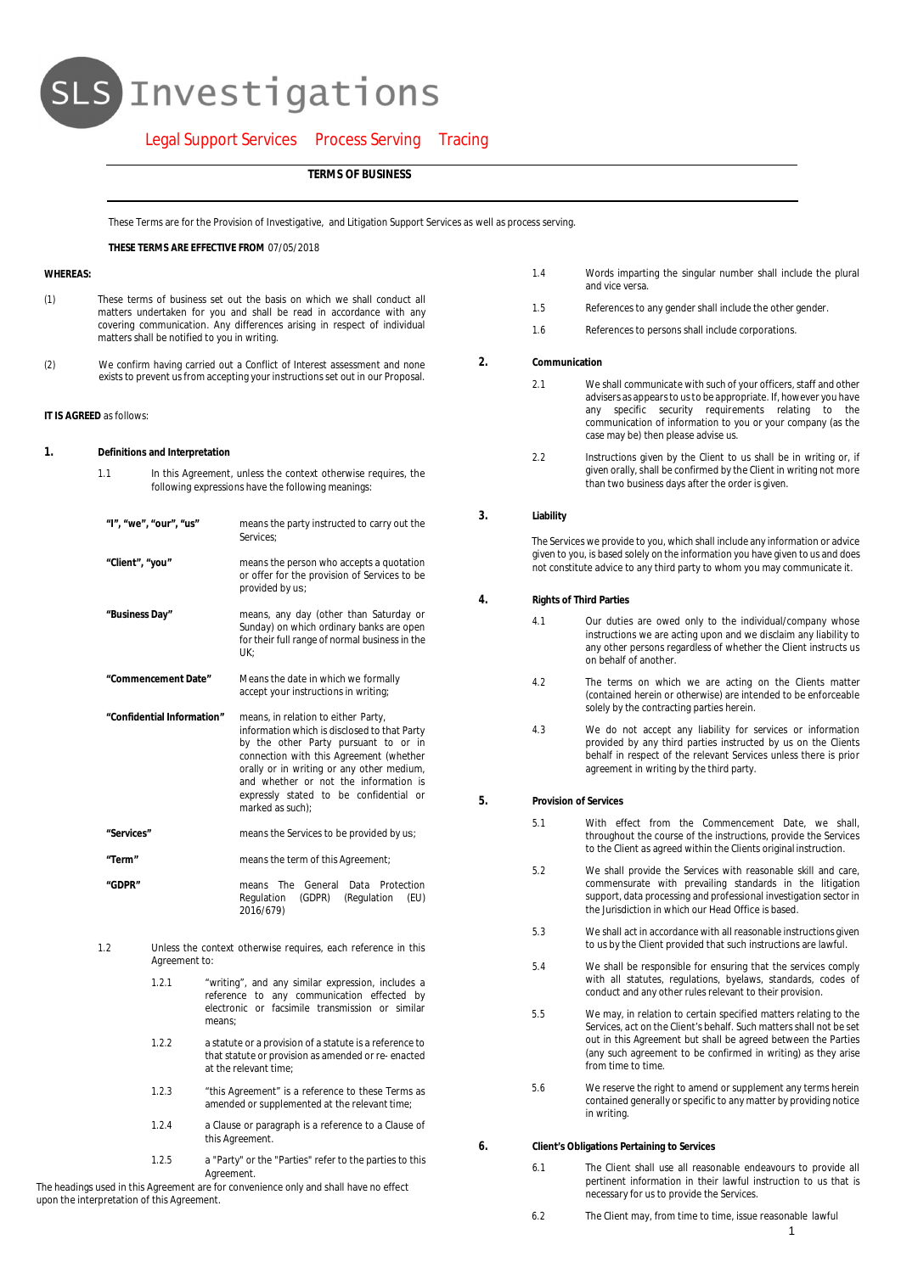# SLS Investigations

# Legal Support Services Process Serving Tracing

**TERMS OF BUSINESS**

These Terms are for the Provision of Investigative, and Litigation Support Services as well as process serving.

**THESE TERMS ARE EFFECTIVE FROM** 07/05/2018

# **WHEREAS:**

- (1) These terms of business set out the basis on which we shall conduct all matters undertaken for you and shall be read in accordance with any covering communication. Any differences arising in respect of individual matters shall be notified to you in writing.
- (2) We confirm having carried out a Conflict of Interest assessment and none exists to prevent us from accepting your instructions set out in our Proposal.

#### **IT IS AGREED** as follows:

- **1. Definitions and Interpretation**
	- 1.1 In this Agreement, unless the context otherwise requires, the following expressions have the following meanings:
	- **"I", "we", "our", "us"** means the party instructed to carry out the Services;
	- **"Client", "you"** means the person who accepts a quotation or offer for the provision of Services to be provided by us;
	- **"Business Day"** means, any day (other than Saturday or Sunday) on which ordinary banks are open for their full range of normal business in the UK;
	- **"Commencement Date"** Means the date in which we formally accept your instructions in writing;
	- **"Confidential Information"** means, in relation to either Party, information which is disclosed to that Party by the other Party pursuant to or in connection with this Agreement (whether orally or in writing or any other medium, and whether or not the information is expressly stated to be confidential or marked as such);
	- **"Services"** means the Services to be provided by us;
	- **"Term"** means the term of this Agreement;

**"GDPR"** means The General Data Protection Regulation (GDPR) (Regulation (EU) 2016/679)

- 1.2 Unless the context otherwise requires, each reference in this Agreement to:
	- 1.2.1 "writing", and any similar expression, includes a reference to any communication effected by electronic or facsimile transmission or similar means;
	- 1.2.2 a statute or a provision of a statute is a reference to that statute or provision as amended or re- enacted at the relevant time;
	- 1.2.3 "this Agreement" is a reference to these Terms as amended or supplemented at the relevant time;
	- 1.2.4 a Clause or paragraph is a reference to a Clause of this Agreement
	- 1.2.5 a "Party" or the "Parties" refer to the parties to this **Agreement**

The headings used in this Agreement are for convenience only and shall have no effect upon the interpretation of this Agreement.

- 1.4 Words imparting the singular number shall include the plural and vice versa.
- 1.5 References to any gender shall include the other gender.
- 1.6 References to persons shall include corporations.
- **2. Communication**
	- 2.1 We shall communicate with such of your officers, staff and other advisers as appears to us to be appropriate. If, however you have any specific security requirements relating to the communication of information to you or your company (as the case may be) then please advise us.
	- 2.2 Instructions given by the Client to us shall be in writing or, if given orally, shall be confirmed by the Client in writing not more than two business days after the order is given.
- **3. Liability**

The Services we provide to you, which shall include any information or advice given to you, is based solely on the information you have given to us and does not constitute advice to any third party to whom you may communicate it.

- **4. Rights of Third Parties**
	- 4.1 Our duties are owed only to the individual/company whose instructions we are acting upon and we disclaim any liability to any other persons regardless of whether the Client instructs us on behalf of another.
	- 4.2 The terms on which we are acting on the Clients matter (contained herein or otherwise) are intended to be enforceable solely by the contracting parties herein.
	- 4.3 We do not accept any liability for services or information provided by any third parties instructed by us on the Clients behalf in respect of the relevant Services unless there is prior agreement in writing by the third party.
- **5. Provision of Services**
	- 5.1 With effect from the Commencement Date, we shall, throughout the course of the instructions, provide the Services to the Client as agreed within the Clients original instruction.
	- 5.2 We shall provide the Services with reasonable skill and care, commensurate with prevailing standards in the litigation support, data processing and professional investigation sector in the Jurisdiction in which our Head Office is based.
	- 5.3 We shall act in accordance with all reasonable instructions given to us by the Client provided that such instructions are lawful.
	- 5.4 We shall be responsible for ensuring that the services comply with all statutes, regulations, byelaws, standards, codes of conduct and any other rules relevant to their provision.
	- 5.5 We may, in relation to certain specified matters relating to the Services, act on the Client's behalf. Such matters shall not be set out in this Agreement but shall be agreed between the Parties (any such agreement to be confirmed in writing) as they arise from time to time.
	- 5.6 We reserve the right to amend or supplement any terms herein contained generally or specific to any matter by providing notice in writing.
- **6. Client's Obligations Pertaining to Services**
	- 6.1 The Client shall use all reasonable endeavours to provide all pertinent information in their lawful instruction to us that is necessary for us to provide the Services.
	- 6.2 The Client may, from time to time, issue reasonable lawful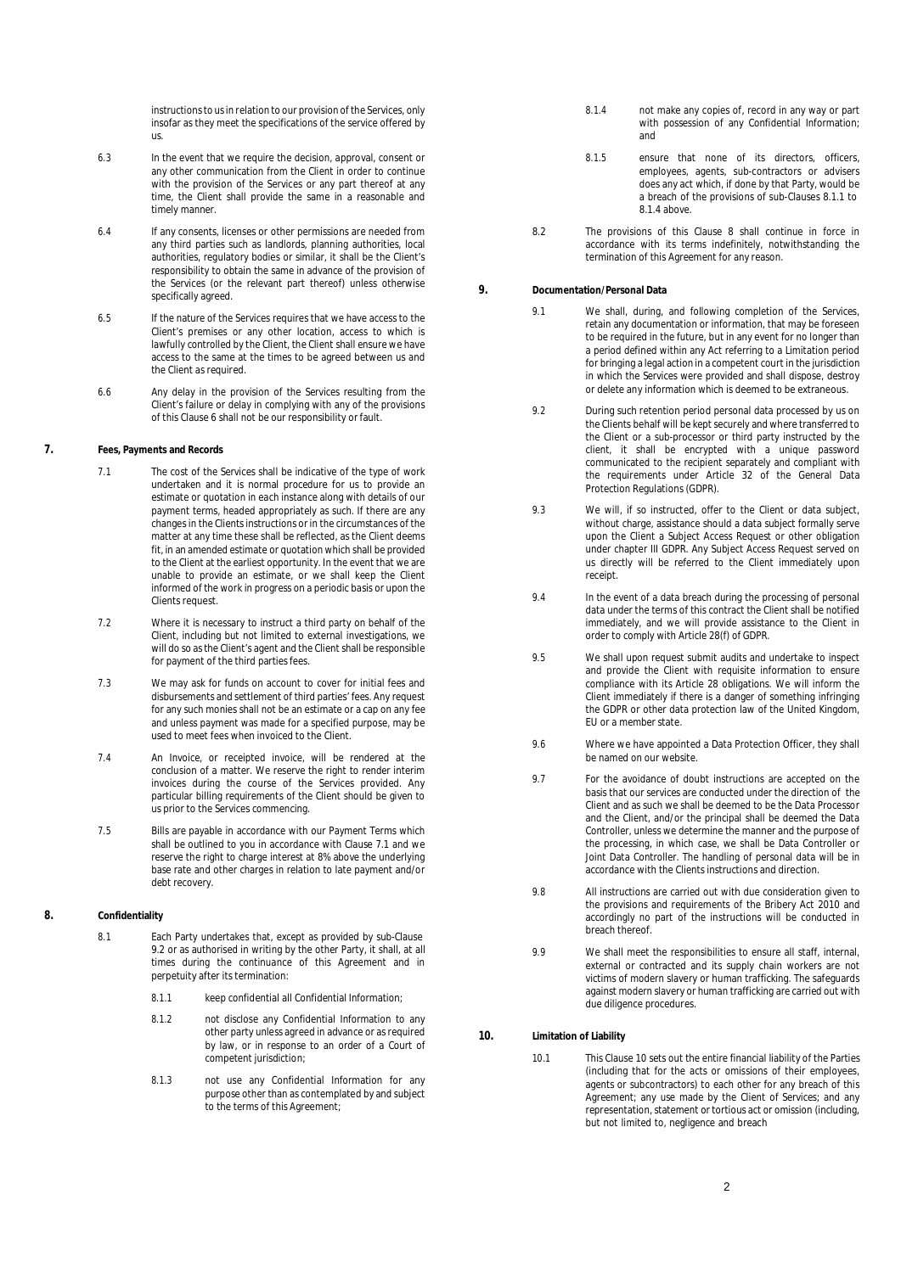instructions to us in relation to our provision of the Services, only insofar as they meet the specifications of the service offered by us.

- 6.3 In the event that we require the decision, approval, consent or any other communication from the Client in order to continue with the provision of the Services or any part thereof at any time, the Client shall provide the same in a reasonable and timely manner.
- 6.4 If any consents, licenses or other permissions are needed from any third parties such as landlords, planning authorities, local authorities, regulatory bodies or similar, it shall be the Client's responsibility to obtain the same in advance of the provision of the Services (or the relevant part thereof) unless otherwise specifically agreed.
- 6.5 If the nature of the Services requires that we have access to the Client's premises or any other location, access to which is lawfully controlled by the Client, the Client shall ensure we have access to the same at the times to be agreed between us and the Client as required.
- 6.6 Any delay in the provision of the Services resulting from the Client's failure or delay in complying with any of the provisions of this Clause 6 shall not be our responsibility or fault.

#### **7. Fees, Payments and Records**

- 7.1 The cost of the Services shall be indicative of the type of work undertaken and it is normal procedure for us to provide an estimate or quotation in each instance along with details of our payment terms, headed appropriately as such. If there are any payment terms, needed appropriately as seen. In there are any changes in the Clients instructions or in the circumstances of the matter at any time these shall be reflected, as the Client deems fit, in an amended estimate or quotation which shall be provided to the Client at the earliest opportunity. In the event that we are unable to provide an estimate, or we shall keep the Client informed of the work in progress on a periodic basis or upon the Clients request.
- 7.2 Where it is necessary to instruct a third party on behalf of the Client, including but not limited to external investigations, we will do so as the Client's agent and the Client shall be responsible for payment of the third parties fees.
- 7.3 We may ask for funds on account to cover for initial fees and disbursements and settlement of third parties' fees. Any request for any such monies shall not be an estimate or a cap on any fee and unless payment was made for a specified purpose, may be used to meet fees when invoiced to the Client.
- 7.4 An Invoice, or receipted invoice, will be rendered at the conclusion of a matter. We reserve the right to render interim invoices during the course of the Services provided. Any particular billing requirements of the Client should be given to us prior to the Services commencing.
- 7.5 Bills are payable in accordance with our Payment Terms which shall be outlined to you in accordance with Clause 7.1 and we reserve the right to charge interest at 8% above the underlying base rate and other charges in relation to late payment and/or debt recovery.

## **8. Confidentiality**

- 8.1 Each Party undertakes that, except as provided by sub-Clause 9.2 or as authorised in writing by the other Party, it shall, at all times during the continuance of this Agreement and in perpetuity after its termination:
	- 8.1.1 keep confidential all Confidential Information;
	- 8.1.2 not disclose any Confidential Information to any other party unless agreed in advance or as required by law, or in response to an order of a Court of competent jurisdiction;
	- 8.1.3 not use any Confidential Information for any purpose other than as contemplated by and subject to the terms of this Agreement;
- 8.1.4 not make any copies of, record in any way or part with possession of any Confidential Information; and
- 8.1.5 ensure that none of its directors, officers, employees, agents, sub-contractors or advisers does any act which, if done by that Party, would be a breach of the provisions of sub-Clauses 8.1.1 to 8.1.4 above.
- 8.2 The provisions of this Clause 8 shall continue in force in accordance with its terms indefinitely, notwithstanding the termination of this Agreement for any reason.
- **9. Documentation/Personal Data**
	- 9.1 We shall, during, and following completion of the Services. retain any documentation or information, that may be foreseen to be required in the future, but in any event for no longer than a period defined within any Act referring to a Limitation period for bringing a legal action in a competent court in the jurisdiction in which the Services were provided and shall dispose, destroy or delete any information which is deemed to be extraneous.
	- 9.2 During such retention period personal data processed by us on the Clients behalf will be kept securely and where transferred to the Client or a sub-processor or third party instructed by the client, it shall be encrypted with a unique password communicated to the recipient separately and compliant with the requirements under Article 32 of the General Data Protection Regulations (GDPR).
	- 9.3 We will, if so instructed, offer to the Client or data subject, without charge, assistance should a data subject formally serve upon the Client a Subject Access Request or other obligation under chapter III GDPR. Any Subject Access Request served on us directly will be referred to the Client immediately upon receipt.
	- 9.4 In the event of a data breach during the processing of personal data under the terms of this contract the Client shall be notified immediately, and we will provide assistance to the Client in order to comply with Article 28(f) of GDPR.
	- 9.5 We shall upon request submit audits and undertake to inspect and provide the Client with requisite information to ensure compliance with its Article 28 obligations. We will inform the Client immediately if there is a danger of something infringing the GDPR or other data protection law of the United Kingdom, EU or a member state.
	- 9.6 Where we have appointed a Data Protection Officer, they shall be named on our website.
	- 9.7 For the avoidance of doubt instructions are accepted on the basis that our services are conducted under the direction of the Client and as such we shall be deemed to be the Data Processor and the Client, and/or the principal shall be deemed the Data Controller, unless we determine the manner and the purpose of the processing, in which case, we shall be Data Controller or Joint Data Controller. The handling of personal data will be in accordance with the Clients instructions and direction.
	- 9.8 All instructions are carried out with due consideration given to the provisions and requirements of the Bribery Act 2010 and accordingly no part of the instructions will be conducted in breach thereof.
	- 9.9 We shall meet the responsibilities to ensure all staff, internal, external or contracted and its supply chain workers are not victims of modern slavery or human trafficking. The safeguards against modern slavery or human trafficking are carried out with due diligence procedures.
- **10. Limitation of Liability**
	- 10.1 This Clause 10 sets out the entire financial liability of the Parties (including that for the acts or omissions of their employees, agents or subcontractors) to each other for any breach of this Agreement; any use made by the Client of Services; and any representation, statement or tortious act or omission (including, but not limited to, negligence and breach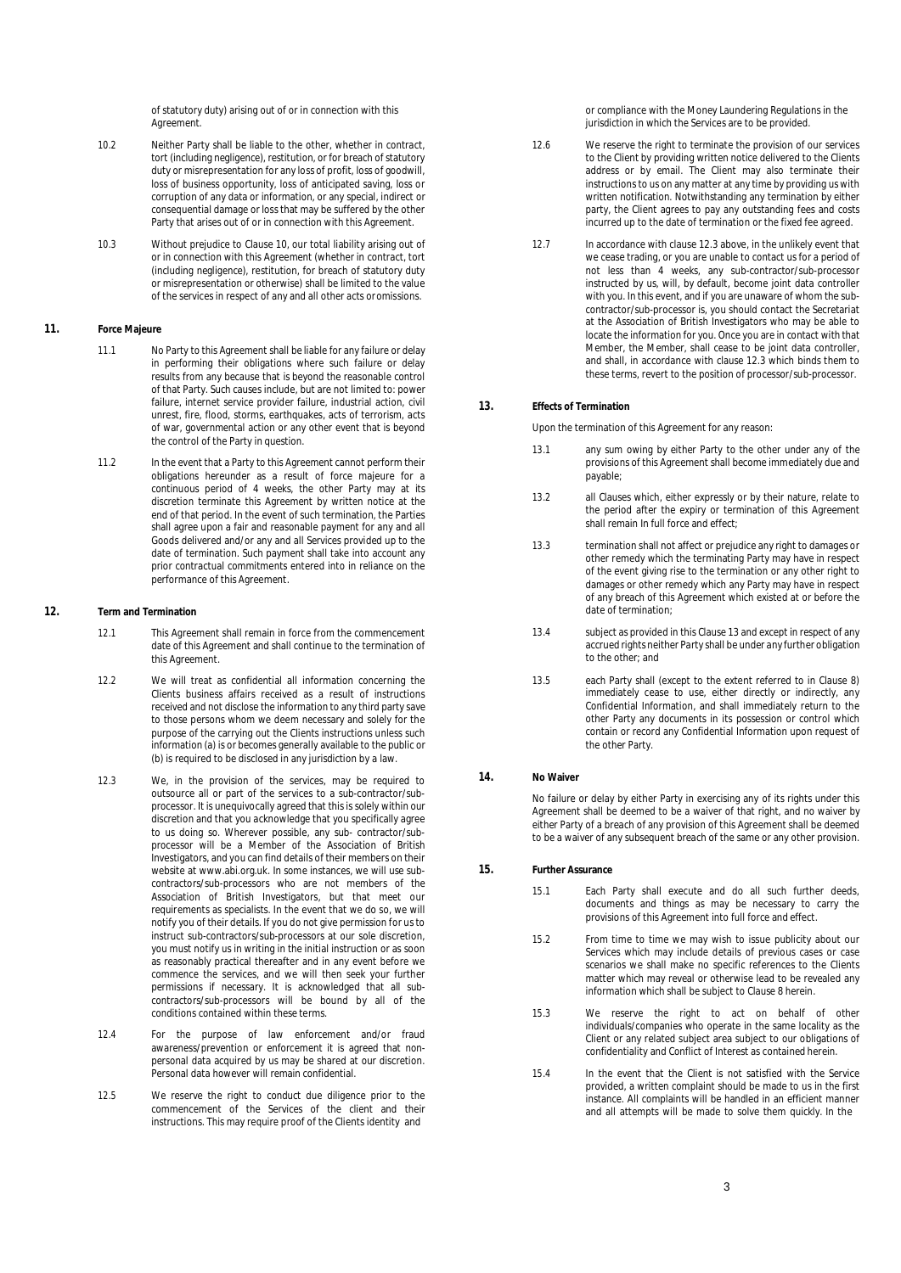of statutory duty) arising out of or in connection with this **Agreement** 

- 10.2 Neither Party shall be liable to the other, whether in contract, tort (including negligence), restitution, or for breach of statutory duty or misrepresentation for any loss of profit, loss of goodwill, loss of business opportunity, loss of anticipated saving, loss or corruption of any data or information, or any special, indirect or consequential damage or loss that may be suffered by the other Party that arises out of or in connection with this Agreement.
- 10.3 Without prejudice to Clause 10, our total liability arising out of or in connection with this Agreement (whether in contract, tort (including negligence), restitution, for breach of statutory duty or misrepresentation or otherwise) shall be limited to the value of the services in respect of any and all other acts or omissions.

#### **11. Force Majeure**

- 11.1 No Party to this Agreement shall be liable for any failure or delay in performing their obligations where such failure or delay results from any because that is beyond the reasonable control of that Party. Such causes include, but are not limited to: power failure, internet service provider failure, industrial action, civil unrest, fire, flood, storms, earthquakes, acts of terrorism, acts of war, governmental action or any other event that is beyond the control of the Party in question.
- 11.2 In the event that a Party to this Agreement cannot perform their obligations hereunder as a result of force majeure for a continuous period of 4 weeks, the other Party may at its discretion terminate this Agreement by written notice at the end of that period. In the event of such termination, the Parties shall agree upon a fair and reasonable payment for any and all Goods delivered and/or any and all Services provided up to the date of termination. Such payment shall take into account any prior contractual commitments entered into in reliance on the performance of this Agreement.

#### **12. Term and Termination**

- 12.1 This Agreement shall remain in force from the commencement date of this Agreement and shall continue to the termination of this Agreement
- 12.2 We will treat as confidential all information concerning the Clients business affairs received as a result of instructions received and not disclose the information to any third party save to those persons whom we deem necessary and solely for the purpose of the carrying out the Clients instructions unless such information (a) is or becomes generally available to the public or (b) is required to be disclosed in any jurisdiction by a law.
- 12.3 We, in the provision of the services, may be required to outsource all or part of the services to a sub-contractor/subprocessor. It is unequivocally agreed that this is solely within our discretion and that you acknowledge that you specifically agree to us doing so. Wherever possible, any sub- contractor/subprocessor will be a Member of the Association of British Investigators, and you can find details of their members on their website at www.abi.org.uk. In some instances, we will use subcontractors/sub-processors who are not members of the Association of British Investigators, but that meet our requirements as specialists. In the event that we do so, we will notify you of their details. If you do not give permission for us to instruct sub-contractors/sub-processors at our sole discretion, you must notify us in writing in the initial instruction or as soon as reasonably practical thereafter and in any event before we commence the services, and we will then seek your further permissions if necessary. It is acknowledged that all subcontractors/sub-processors will be bound by all of the conditions contained within these terms.
- 12.4 For the purpose of law enforcement and/or fraud awareness/prevention or enforcement it is agreed that nonpersonal data acquired by us may be shared at our discretion. Personal data however will remain confidential.
- 12.5 We reserve the right to conduct due diligence prior to the commencement of the Services of the client and their instructions. This may require proof of the Clients identity and

or compliance with the Money Laundering Regulations in the jurisdiction in which the Services are to be provided.

- 12.6 We reserve the right to terminate the provision of our services to the Client by providing written notice delivered to the Clients address or by email. The Client may also terminate their instructions to us on any matter at any time by providing us with written notification. Notwithstanding any termination by either party, the Client agrees to pay any outstanding fees and costs incurred up to the date of termination or the fixed fee agreed.
- 12.7 In accordance with clause 12.3 above, in the unlikely event that we cease trading, or you are unable to contact us for a period of not less than 4 weeks, any sub-contractor/sub-processor instructed by us, will, by default, become joint data controller with you. In this event, and if you are unaware of whom the subcontractor/sub-processor is, you should contact the Secretariat at the Association of British Investigators who may be able to locate the information for you. Once you are in contact with that Member, the Member, shall cease to be joint data controller, and shall, in accordance with clause 12.3 which binds them to these terms, revert to the position of processor/sub-processor.

## **13. Effects of Termination**

Upon the termination of this Agreement for any reason:

- 13.1 any sum owing by either Party to the other under any of the provisions of this Agreement shall become immediately due and payable;
- 13.2 all Clauses which, either expressly or by their nature, relate to the period after the expiry or termination of this Agreement shall remain In full force and effect;
- 13.3 termination shall not affect or prejudice any right to damages or other remedy which the terminating Party may have in respect of the event giving rise to the termination or any other right to damages or other remedy which any Party may have in respect of any breach of this Agreement which existed at or before the date of termination;
- 13.4 subject as provided in this Clause 13 and except in respect of any accrued rights neither Party shall be under any further obligation to the other; and
- 13.5 each Party shall (except to the extent referred to in Clause 8) immediately cease to use, either directly or indirectly, any Confidential Information, and shall immediately return to the other Party any documents in its possession or control which contain or record any Confidential Information upon request of the other Party.

#### **14. No Waiver**

No failure or delay by either Party in exercising any of its rights under this Agreement shall be deemed to be a waiver of that right, and no waiver by either Party of a breach of any provision of this Agreement shall be deemed to be a waiver of any subsequent breach of the same or any other provision.

# **15. Further Assurance**

- 15.1 Each Party shall execute and do all such further deeds, documents and things as may be necessary to carry the provisions of this Agreement into full force and effect.
- 15.2 From time to time we may wish to issue publicity about our Services which may include details of previous cases or case scenarios we shall make no specific references to the Clients matter which may reveal or otherwise lead to be revealed any information which shall be subject to Clause 8 herein.
- 15.3 We reserve the right to act on behalf of other individuals/companies who operate in the same locality as the Client or any related subject area subject to our obligations of confidentiality and Conflict of Interest as contained herein.
- 15.4 In the event that the Client is not satisfied with the Service provided, a written complaint should be made to us in the first instance. All complaints will be handled in an efficient manner and all attempts will be made to solve them quickly. In the